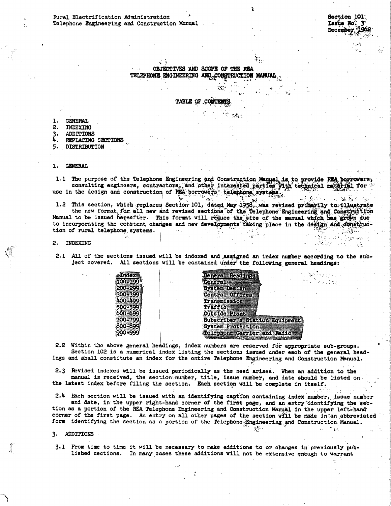74 P. C

 $\sim 10$ 

 $\sim 10^{11}$  and  $\sim 10^{11}$ 

 $\Delta \mathbf{e}^{(1)} = \mathbf{e}^{(1)} + \mathbf{e}^{(2)}$  ,  $\mathbf{e}^{(2)}$ 

 $\mathcal{D}^{\text{c}}$  ,  $\mathcal{D}^{\text{c}}$  ,  $\mathcal{D}^{\text{c}}$  ,  $\mathcal{D}^{\text{c}}$  ,  $\mathcal{D}^{\text{c}}$ 

OBJECTIVES AND SCOPE OF THE REA TELEPHONE ENGINEERING AND CONSTRUCTION MANUAL

 $\mathcal{F}_{\mathcal{G}}$ 

TABLE OF CONTI

- **GENERAL** ı.
- INDEXING  $2.$
- 3. **ADDITIONS**
- 4. REPLACING SECTIONS
- 5. DISTRIBUTION

## 1. GENERAL

1.1 The purpose of the Telephone Engineering and Construction Manual is to provide REA porrowers, consulting engineers, contractors, and other interested parties with technical material for the interest on the design and c  $\mathbf{Q}_i$ 

1.2 This section, which replaces Section 101, dated May 1958, was revised primarily to filmstrate the new format for all new and revised sections of the Telephone Engineering and Construction Manual to be issued herestter. This format will reduce the size of the manual which has grown due to incorporating the constant changes and new developments taking place in the design and constanttion of rural telephone systems.

2. INDEXING

**MAGNASIATE** 

2.1 All of the sections issued will be indexed and assigned an index number according to the subject covered. All sections will be contained under the following general headings:

| <b>Index</b>   | General Headings             |
|----------------|------------------------------|
| 0-199          | <b>Ceneral</b>               |
| 0-299          | System Design                |
| <b>0-399 F</b> | Central Offices.             |
| 10-499         | Transmission                 |
| 0-5991         | Traffic                      |
| K)-699         | <b>Outside Plant</b>         |
| 0-799          | Subscriber's Station Equipme |
| XO-899         | System Protection            |
| 10-999         | Telephone Carrier and Radio  |
|                |                              |

2.2 Within the above general headings, index numbers are reserved for appropriate sub-groups. Section 102 is a numerical index listing the sections issued under each of the general headings and shall constitute an index for the entire Telephone Engineering and Construction Manual.

2.3 Revised indexes will be issued periodically as the need arises. When an addition to the manual is received, the section number, title, issue number, and date should be listed on the latest index before filing the section. Each section will be complete in itself.

2.4 Each section will be issued with an identifying caption containing index number, issue number and date, in the upper right-hand corner of the first page, and an entry identifying the sec-

tion as a portion of the REA Telephone Engineering and Construction Manual in the upper left-hand corner of the first page. An entry on all other pages of the section will be made in an abbreviated form identifying the section as a portion of the Telephone Engineering and Construction Manual.  $\mathcal{N}^{\mathcal{K}}$  .

3. ADDITIONS

3.1 From time to time it will be necessary to make additions to or changes in previously published sections. In many cases these additions will not be extensive enough to warrant